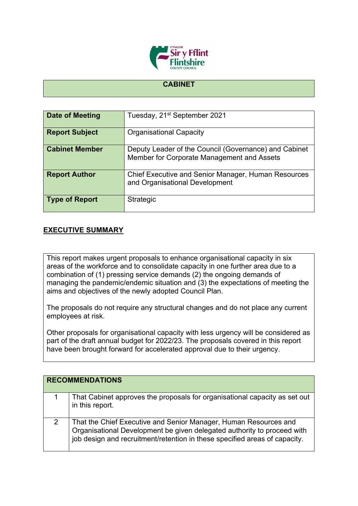

## **CABINET**

| Date of Meeting       | Tuesday, 21 <sup>st</sup> September 2021                                                            |
|-----------------------|-----------------------------------------------------------------------------------------------------|
| <b>Report Subject</b> | <b>Organisational Capacity</b>                                                                      |
| <b>Cabinet Member</b> | Deputy Leader of the Council (Governance) and Cabinet<br>Member for Corporate Management and Assets |
| <b>Report Author</b>  | <b>Chief Executive and Senior Manager, Human Resources</b><br>and Organisational Development        |
| <b>Type of Report</b> | Strategic                                                                                           |

## **EXECUTIVE SUMMARY**

This report makes urgent proposals to enhance organisational capacity in six areas of the workforce and to consolidate capacity in one further area due to a combination of (1) pressing service demands (2) the ongoing demands of managing the pandemic/endemic situation and (3) the expectations of meeting the aims and objectives of the newly adopted Council Plan.

The proposals do not require any structural changes and do not place any current employees at risk.

Other proposals for organisational capacity with less urgency will be considered as part of the draft annual budget for 2022/23. The proposals covered in this report have been brought forward for accelerated approval due to their urgency.

|   | <b>RECOMMENDATIONS</b>                                                                                                                                                                                                    |
|---|---------------------------------------------------------------------------------------------------------------------------------------------------------------------------------------------------------------------------|
|   | That Cabinet approves the proposals for organisational capacity as set out<br>in this report.                                                                                                                             |
| 2 | That the Chief Executive and Senior Manager, Human Resources and<br>Organisational Development be given delegated authority to proceed with<br>job design and recruitment/retention in these specified areas of capacity. |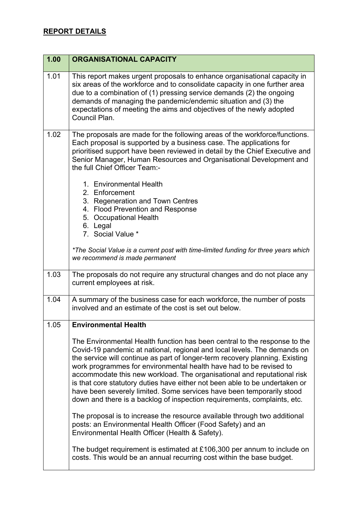## **REPORT DETAILS**

| 1.00 | <b>ORGANISATIONAL CAPACITY</b>                                                                                                                                                                                                                                                                                                                                                                                                                                                                                                                                                                                             |
|------|----------------------------------------------------------------------------------------------------------------------------------------------------------------------------------------------------------------------------------------------------------------------------------------------------------------------------------------------------------------------------------------------------------------------------------------------------------------------------------------------------------------------------------------------------------------------------------------------------------------------------|
| 1.01 | This report makes urgent proposals to enhance organisational capacity in<br>six areas of the workforce and to consolidate capacity in one further area<br>due to a combination of (1) pressing service demands (2) the ongoing<br>demands of managing the pandemic/endemic situation and (3) the<br>expectations of meeting the aims and objectives of the newly adopted<br>Council Plan.                                                                                                                                                                                                                                  |
| 1.02 | The proposals are made for the following areas of the workforce/functions.<br>Each proposal is supported by a business case. The applications for<br>prioritised support have been reviewed in detail by the Chief Executive and<br>Senior Manager, Human Resources and Organisational Development and<br>the full Chief Officer Team:-                                                                                                                                                                                                                                                                                    |
|      | 1. Environmental Health<br>2. Enforcement                                                                                                                                                                                                                                                                                                                                                                                                                                                                                                                                                                                  |
|      | 3. Regeneration and Town Centres                                                                                                                                                                                                                                                                                                                                                                                                                                                                                                                                                                                           |
|      | 4. Flood Prevention and Response                                                                                                                                                                                                                                                                                                                                                                                                                                                                                                                                                                                           |
|      | 5. Occupational Health<br>6. Legal                                                                                                                                                                                                                                                                                                                                                                                                                                                                                                                                                                                         |
|      | 7. Social Value *                                                                                                                                                                                                                                                                                                                                                                                                                                                                                                                                                                                                          |
|      | *The Social Value is a current post with time-limited funding for three years which<br>we recommend is made permanent                                                                                                                                                                                                                                                                                                                                                                                                                                                                                                      |
| 1.03 | The proposals do not require any structural changes and do not place any<br>current employees at risk.                                                                                                                                                                                                                                                                                                                                                                                                                                                                                                                     |
| 1.04 | A summary of the business case for each workforce, the number of posts<br>involved and an estimate of the cost is set out below.                                                                                                                                                                                                                                                                                                                                                                                                                                                                                           |
| 1.05 | <b>Environmental Health</b>                                                                                                                                                                                                                                                                                                                                                                                                                                                                                                                                                                                                |
|      | The Environmental Health function has been central to the response to the<br>Covid-19 pandemic at national, regional and local levels. The demands on<br>the service will continue as part of longer-term recovery planning. Existing<br>work programmes for environmental health have had to be revised to<br>accommodate this new workload. The organisational and reputational risk<br>is that core statutory duties have either not been able to be undertaken or<br>have been severely limited. Some services have been temporarily stood<br>down and there is a backlog of inspection requirements, complaints, etc. |
|      | The proposal is to increase the resource available through two additional<br>posts: an Environmental Health Officer (Food Safety) and an<br>Environmental Health Officer (Health & Safety).                                                                                                                                                                                                                                                                                                                                                                                                                                |
|      | The budget requirement is estimated at £106,300 per annum to include on<br>costs. This would be an annual recurring cost within the base budget.                                                                                                                                                                                                                                                                                                                                                                                                                                                                           |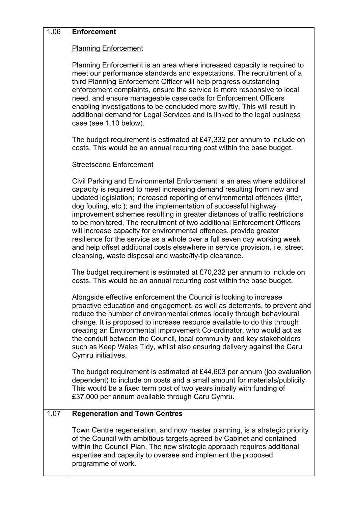| 1.06 | <b>Enforcement</b>                                                                                                                                                                                                                                                                                                                                                                                                                                                                                                                                                                                                                                                                                                                                       |
|------|----------------------------------------------------------------------------------------------------------------------------------------------------------------------------------------------------------------------------------------------------------------------------------------------------------------------------------------------------------------------------------------------------------------------------------------------------------------------------------------------------------------------------------------------------------------------------------------------------------------------------------------------------------------------------------------------------------------------------------------------------------|
|      | <b>Planning Enforcement</b>                                                                                                                                                                                                                                                                                                                                                                                                                                                                                                                                                                                                                                                                                                                              |
|      | Planning Enforcement is an area where increased capacity is required to<br>meet our performance standards and expectations. The recruitment of a<br>third Planning Enforcement Officer will help progress outstanding<br>enforcement complaints, ensure the service is more responsive to local<br>need, and ensure manageable caseloads for Enforcement Officers<br>enabling investigations to be concluded more swiftly. This will result in<br>additional demand for Legal Services and is linked to the legal business<br>case (see 1.10 below).                                                                                                                                                                                                     |
|      | The budget requirement is estimated at £47,332 per annum to include on<br>costs. This would be an annual recurring cost within the base budget.                                                                                                                                                                                                                                                                                                                                                                                                                                                                                                                                                                                                          |
|      | <b>Streetscene Enforcement</b>                                                                                                                                                                                                                                                                                                                                                                                                                                                                                                                                                                                                                                                                                                                           |
|      | Civil Parking and Environmental Enforcement is an area where additional<br>capacity is required to meet increasing demand resulting from new and<br>updated legislation; increased reporting of environmental offences (litter,<br>dog fouling, etc.); and the implementation of successful highway<br>improvement schemes resulting in greater distances of traffic restrictions<br>to be monitored. The recruitment of two additional Enforcement Officers<br>will increase capacity for environmental offences, provide greater<br>resilience for the service as a whole over a full seven day working week<br>and help offset additional costs elsewhere in service provision, i.e. street<br>cleansing, waste disposal and waste/fly-tip clearance. |
|      | The budget requirement is estimated at £70,232 per annum to include on<br>costs. This would be an annual recurring cost within the base budget.                                                                                                                                                                                                                                                                                                                                                                                                                                                                                                                                                                                                          |
|      | Alongside effective enforcement the Council is looking to increase<br>proactive education and engagement, as well as deterrents, to prevent and<br>reduce the number of environmental crimes locally through behavioural<br>change. It is proposed to increase resource available to do this through<br>creating an Environmental Improvement Co-ordinator, who would act as<br>the conduit between the Council, local community and key stakeholders<br>such as Keep Wales Tidy, whilst also ensuring delivery against the Caru<br>Cymru initiatives.                                                                                                                                                                                                   |
|      | The budget requirement is estimated at £44,603 per annum (job evaluation<br>dependent) to include on costs and a small amount for materials/publicity.<br>This would be a fixed term post of two years initially with funding of<br>£37,000 per annum available through Caru Cymru.                                                                                                                                                                                                                                                                                                                                                                                                                                                                      |
| 1.07 | <b>Regeneration and Town Centres</b>                                                                                                                                                                                                                                                                                                                                                                                                                                                                                                                                                                                                                                                                                                                     |
|      | Town Centre regeneration, and now master planning, is a strategic priority<br>of the Council with ambitious targets agreed by Cabinet and contained<br>within the Council Plan. The new strategic approach requires additional<br>expertise and capacity to oversee and implement the proposed<br>programme of work.                                                                                                                                                                                                                                                                                                                                                                                                                                     |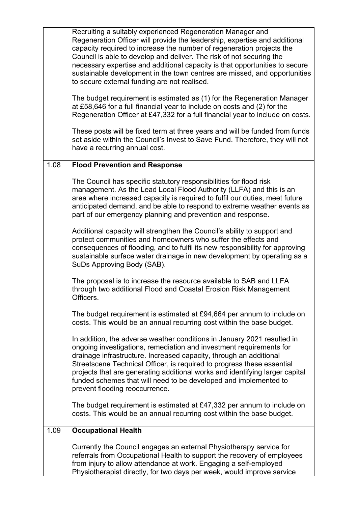|      | Recruiting a suitably experienced Regeneration Manager and<br>Regeneration Officer will provide the leadership, expertise and additional<br>capacity required to increase the number of regeneration projects the<br>Council is able to develop and deliver. The risk of not securing the<br>necessary expertise and additional capacity is that opportunities to secure<br>sustainable development in the town centres are missed, and opportunities<br>to secure external funding are not realised. |
|------|-------------------------------------------------------------------------------------------------------------------------------------------------------------------------------------------------------------------------------------------------------------------------------------------------------------------------------------------------------------------------------------------------------------------------------------------------------------------------------------------------------|
|      | The budget requirement is estimated as (1) for the Regeneration Manager<br>at £58,646 for a full financial year to include on costs and (2) for the<br>Regeneration Officer at £47,332 for a full financial year to include on costs.                                                                                                                                                                                                                                                                 |
|      | These posts will be fixed term at three years and will be funded from funds<br>set aside within the Council's Invest to Save Fund. Therefore, they will not<br>have a recurring annual cost.                                                                                                                                                                                                                                                                                                          |
| 1.08 | <b>Flood Prevention and Response</b>                                                                                                                                                                                                                                                                                                                                                                                                                                                                  |
|      | The Council has specific statutory responsibilities for flood risk<br>management. As the Lead Local Flood Authority (LLFA) and this is an<br>area where increased capacity is required to fulfil our duties, meet future<br>anticipated demand, and be able to respond to extreme weather events as<br>part of our emergency planning and prevention and response.                                                                                                                                    |
|      | Additional capacity will strengthen the Council's ability to support and<br>protect communities and homeowners who suffer the effects and<br>consequences of flooding, and to fulfil its new responsibility for approving<br>sustainable surface water drainage in new development by operating as a<br>SuDs Approving Body (SAB).                                                                                                                                                                    |
|      | The proposal is to increase the resource available to SAB and LLFA<br>through two additional Flood and Coastal Erosion Risk Management<br>Officers.                                                                                                                                                                                                                                                                                                                                                   |
|      | The budget requirement is estimated at £94,664 per annum to include on<br>costs. This would be an annual recurring cost within the base budget.                                                                                                                                                                                                                                                                                                                                                       |
|      | In addition, the adverse weather conditions in January 2021 resulted in<br>ongoing investigations, remediation and investment requirements for<br>drainage infrastructure. Increased capacity, through an additional<br>Streetscene Technical Officer, is required to progress these essential<br>projects that are generating additional works and identifying larger capital<br>funded schemes that will need to be developed and implemented to<br>prevent flooding reoccurrence.                  |
|      | The budget requirement is estimated at £47,332 per annum to include on<br>costs. This would be an annual recurring cost within the base budget.                                                                                                                                                                                                                                                                                                                                                       |
| 1.09 | <b>Occupational Health</b>                                                                                                                                                                                                                                                                                                                                                                                                                                                                            |
|      | Currently the Council engages an external Physiotherapy service for<br>referrals from Occupational Health to support the recovery of employees<br>from injury to allow attendance at work. Engaging a self-employed<br>Physiotherapist directly, for two days per week, would improve service                                                                                                                                                                                                         |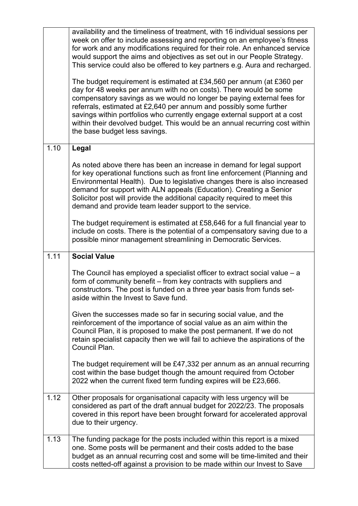|      | availability and the timeliness of treatment, with 16 individual sessions per<br>week on offer to include assessing and reporting on an employee's fitness<br>for work and any modifications required for their role. An enhanced service<br>would support the aims and objectives as set out in our People Strategy.<br>This service could also be offered to key partners e.g. Aura and recharged.                                                                                    |
|------|-----------------------------------------------------------------------------------------------------------------------------------------------------------------------------------------------------------------------------------------------------------------------------------------------------------------------------------------------------------------------------------------------------------------------------------------------------------------------------------------|
|      | The budget requirement is estimated at £34,560 per annum (at £360 per<br>day for 48 weeks per annum with no on costs). There would be some<br>compensatory savings as we would no longer be paying external fees for<br>referrals, estimated at £2,640 per annum and possibly some further<br>savings within portfolios who currently engage external support at a cost<br>within their devolved budget. This would be an annual recurring cost within<br>the base budget less savings. |
| 1.10 | Legal                                                                                                                                                                                                                                                                                                                                                                                                                                                                                   |
|      | As noted above there has been an increase in demand for legal support<br>for key operational functions such as front line enforcement (Planning and<br>Environmental Health). Due to legislative changes there is also increased<br>demand for support with ALN appeals (Education). Creating a Senior<br>Solicitor post will provide the additional capacity required to meet this<br>demand and provide team leader support to the service.                                           |
|      | The budget requirement is estimated at £58,646 for a full financial year to<br>include on costs. There is the potential of a compensatory saving due to a<br>possible minor management streamlining in Democratic Services.                                                                                                                                                                                                                                                             |
| 1.11 | <b>Social Value</b>                                                                                                                                                                                                                                                                                                                                                                                                                                                                     |
|      | The Council has employed a specialist officer to extract social value $- a$<br>form of community benefit - from key contracts with suppliers and<br>constructors. The post is funded on a three year basis from funds set-<br>aside within the Invest to Save fund.                                                                                                                                                                                                                     |
|      | Given the successes made so far in securing social value, and the<br>reinforcement of the importance of social value as an aim within the<br>Council Plan, it is proposed to make the post permanent. If we do not<br>retain specialist capacity then we will fail to achieve the aspirations of the<br>Council Plan.                                                                                                                                                                   |
|      | The budget requirement will be £47,332 per annum as an annual recurring<br>cost within the base budget though the amount required from October<br>2022 when the current fixed term funding expires will be £23,666.                                                                                                                                                                                                                                                                     |
| 1.12 | Other proposals for organisational capacity with less urgency will be<br>considered as part of the draft annual budget for 2022/23. The proposals<br>covered in this report have been brought forward for accelerated approval<br>due to their urgency.                                                                                                                                                                                                                                 |
| 1.13 | The funding package for the posts included within this report is a mixed<br>one. Some posts will be permanent and their costs added to the base<br>budget as an annual recurring cost and some will be time-limited and their<br>costs netted-off against a provision to be made within our Invest to Save                                                                                                                                                                              |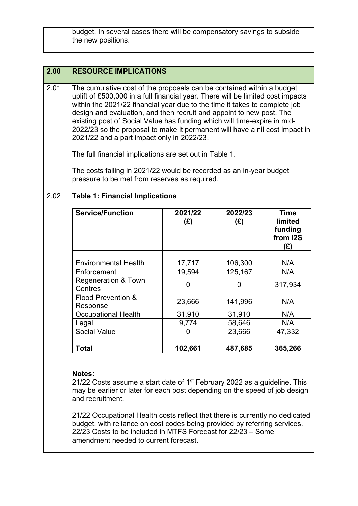| budget. In several cases there will be compensatory savings to subside |
|------------------------------------------------------------------------|
| the new positions.                                                     |

| 2.00 | <b>RESOURCE IMPLICATIONS</b>                                                                                                                                                                                                                                                                                                                                                                                                                                                                                                                                                                                                                                                                               |                  |                    |                                                      |
|------|------------------------------------------------------------------------------------------------------------------------------------------------------------------------------------------------------------------------------------------------------------------------------------------------------------------------------------------------------------------------------------------------------------------------------------------------------------------------------------------------------------------------------------------------------------------------------------------------------------------------------------------------------------------------------------------------------------|------------------|--------------------|------------------------------------------------------|
| 2.01 | The cumulative cost of the proposals can be contained within a budget<br>uplift of £500,000 in a full financial year. There will be limited cost impacts<br>within the 2021/22 financial year due to the time it takes to complete job<br>design and evaluation, and then recruit and appoint to new post. The<br>existing post of Social Value has funding which will time-expire in mid-<br>2022/23 so the proposal to make it permanent will have a nil cost impact in<br>2021/22 and a part impact only in 2022/23.<br>The full financial implications are set out in Table 1.<br>The costs falling in 2021/22 would be recorded as an in-year budget<br>pressure to be met from reserves as required. |                  |                    |                                                      |
| 2.02 | <b>Table 1: Financial Implications</b>                                                                                                                                                                                                                                                                                                                                                                                                                                                                                                                                                                                                                                                                     |                  |                    |                                                      |
|      | Service/Function                                                                                                                                                                                                                                                                                                                                                                                                                                                                                                                                                                                                                                                                                           | 2021/22<br>(E)   | 2022/23<br>(E)     | <b>Time</b><br>limited<br>funding<br>from I2S<br>(E) |
|      | <b>Environmental Health</b><br>Enforcement                                                                                                                                                                                                                                                                                                                                                                                                                                                                                                                                                                                                                                                                 | 17,717<br>19,594 | 106,300<br>125,167 | N/A<br>N/A                                           |
|      | <b>Regeneration &amp; Town</b><br>Centres                                                                                                                                                                                                                                                                                                                                                                                                                                                                                                                                                                                                                                                                  | $\mathbf 0$      | 0                  | 317,934                                              |
|      | Flood Prevention &<br>Response                                                                                                                                                                                                                                                                                                                                                                                                                                                                                                                                                                                                                                                                             | 23,666           | 141,996            | N/A                                                  |
|      | <b>Occupational Health</b>                                                                                                                                                                                                                                                                                                                                                                                                                                                                                                                                                                                                                                                                                 | 31,910           | 31,910             | N/A                                                  |
|      | Legal                                                                                                                                                                                                                                                                                                                                                                                                                                                                                                                                                                                                                                                                                                      | 9,774            | 58,646             | N/A                                                  |
|      | <b>Social Value</b>                                                                                                                                                                                                                                                                                                                                                                                                                                                                                                                                                                                                                                                                                        | 0                | 23,666             | 47,332                                               |
|      | <b>Total</b>                                                                                                                                                                                                                                                                                                                                                                                                                                                                                                                                                                                                                                                                                               | 102,661          | 487,685            | 365,266                                              |

21/22 Costs assume a start date of 1<sup>st</sup> February 2022 as a guideline. This may be earlier or later for each post depending on the speed of job design and recruitment.

21/22 Occupational Health costs reflect that there is currently no dedicated budget, with reliance on cost codes being provided by referring services. 22/23 Costs to be included in MTFS Forecast for 22/23 – Some amendment needed to current forecast.